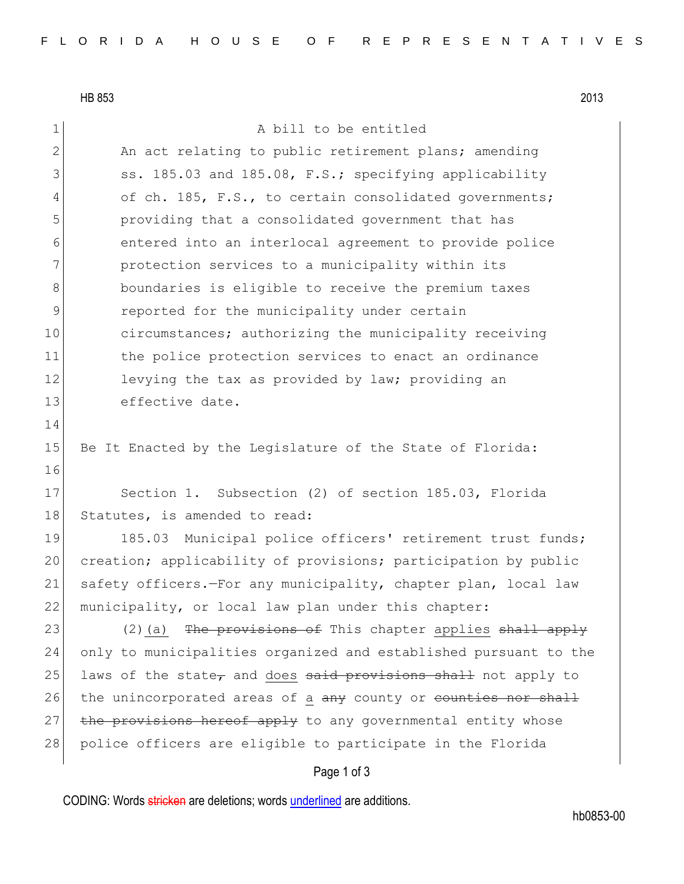HB 853 2013

1 a bill to be entitled

2 An act relating to public retirement plans; amending 3 ss. 185.03 and 185.08, F.S.; specifying applicability 4 of ch. 185, F.S., to certain consolidated governments; 5 providing that a consolidated government that has 6 entered into an interlocal agreement to provide police 7 **protection services to a municipality within its** 8 boundaries is eligible to receive the premium taxes 9 **parameler** reported for the municipality under certain 10 circumstances; authorizing the municipality receiving 11 the police protection services to enact an ordinance 12 levying the tax as provided by law; providing an 13 effective date. 14 15 Be It Enacted by the Legislature of the State of Florida: 16 17 Section 1. Subsection (2) of section 185.03, Florida 18 Statutes, is amended to read: 19 185.03 Municipal police officers' retirement trust funds; 20 creation; applicability of provisions; participation by public 21 safety officers.—For any municipality, chapter plan, local law 22 municipality, or local law plan under this chapter: 23 (2)(a) The provisions of This chapter applies shall apply 24 only to municipalities organized and established pursuant to the 25 laws of the state, and does said provisions shall not apply to 26 the unincorporated areas of a any county or counties nor shall 27 the provisions hereof apply to any governmental entity whose 28 police officers are eligible to participate in the Florida

## Page 1 of 3

CODING: Words stricken are deletions; words underlined are additions.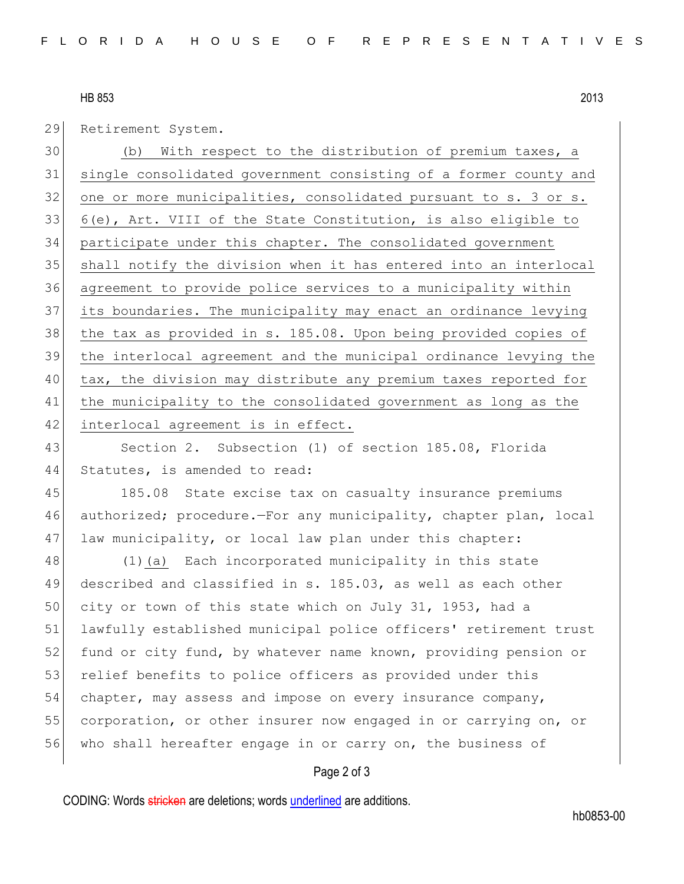## HB 853 2013

29 Retirement System.

 (b) With respect to the distribution of premium taxes, a single consolidated government consisting of a former county and 32 one or more municipalities, consolidated pursuant to s. 3 or s. 6(e), Art. VIII of the State Constitution, is also eligible to participate under this chapter. The consolidated government shall notify the division when it has entered into an interlocal agreement to provide police services to a municipality within its boundaries. The municipality may enact an ordinance levying the tax as provided in s. 185.08. Upon being provided copies of the interlocal agreement and the municipal ordinance levying the tax, the division may distribute any premium taxes reported for the municipality to the consolidated government as long as the 42 interlocal agreement is in effect.

43 Section 2. Subsection (1) of section 185.08, Florida 44 Statutes, is amended to read:

45 185.08 State excise tax on casualty insurance premiums 46 authorized; procedure.—For any municipality, chapter plan, local 47 law municipality, or local law plan under this chapter:

48 (1)(a) Each incorporated municipality in this state 49 described and classified in s. 185.03, as well as each other 50 city or town of this state which on July 31, 1953, had a 51 lawfully established municipal police officers' retirement trust 52 fund or city fund, by whatever name known, providing pension or 53 relief benefits to police officers as provided under this 54 chapter, may assess and impose on every insurance company, 55 corporation, or other insurer now engaged in or carrying on, or 56 who shall hereafter engage in or carry on, the business of

## Page 2 of 3

CODING: Words stricken are deletions; words underlined are additions.